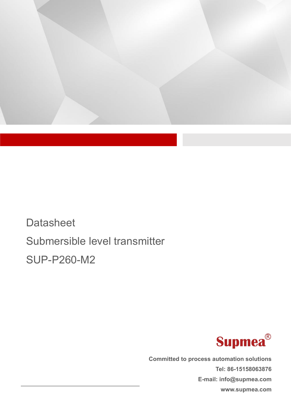

**Datasheet** Submersible level transmitter SUP-P260-M2



**Committed to process automation solutions Tel: 86-15158063876 E-mail: info@supmea.com www.supmea.com**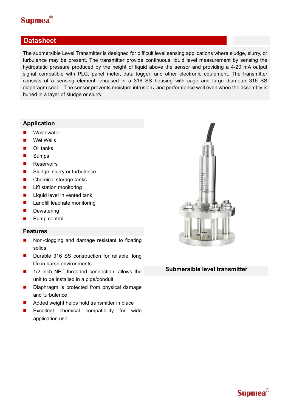

### **Datasheet**

The submersible Level Transmitter is designed for difficult level sensing applications where sludge, slurry, or turbulence may be present. The transmitter provide continuous liquid levelmeasurement by sensing the hydrostatic pressure produced by the height of liquid above the sensor and providing a 4-20 mA output signal compatible with PLC, panel meter, data logger, and other electronic equipment. The transmitter consists of a sensing element, encased in a 316 SS housing with cage and large diameter 316 SS diaphragm seal. The sensor prevents moisture intrusion, and performance well even when the assembly is buried in a layer of sludge or slurry.

#### **Application**

- **Nastewater**
- Wet Wells
- **Oil tanks**
- **Sumps**
- **Reservoirs**
- Sludge, slurry or turbulence
- Chemical storage tanks
- **Lift station monitoring**
- $\blacksquare$  Liquid level in vented tank
- **Landfill leachate monitoring**
- Dewatering
- Pump control

#### **Features**

- Non-clogging and damage resistant to floating solids
- Durable 316 SS construction for reliable, long life in harsh environments
- 1/2 inch NPT threaded connection, allows the unit to be installed in a pipe/conduit
- Diaphragm is protected from physical damage and turbulence
- Added weight helps hold transmitter in place
- Excellent chemical compatibility for wide application use



#### **Submersible level transmitter**

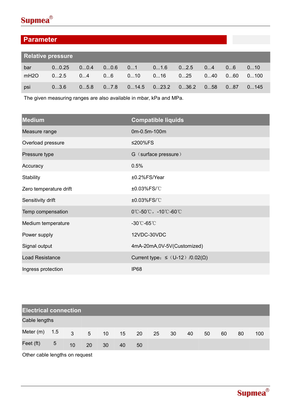

## **Parameter**

| <b>Relative pressure</b> |       |      |      |             |                       |      |      |              |      |
|--------------------------|-------|------|------|-------------|-----------------------|------|------|--------------|------|
| bar                      | 00.25 | 00.4 | 00.6 | 01          | 01.6                  | 02.5 | 04   | 06           | 010  |
| mH2O                     | 02.5  | 04   | 06   | $010$ $016$ |                       | 025  | 0…40 | $060$ $0100$ |      |
| psi                      | 03.6  | 05.8 | 07.8 |             | 014.5   023.2   036.2 |      | 058  | 087          | 0145 |

The given measuring ranges are also available in mbar, kPa and MPa.

| <b>Medium</b>          | <b>Compatible liquids</b>                                       |
|------------------------|-----------------------------------------------------------------|
| Measure range          | 0m-0.5m-100m                                                    |
| Overload pressure      | ≤200%FS                                                         |
| Pressure type          | G (surface pressure)                                            |
| Accuracy               | 0.5%                                                            |
| <b>Stability</b>       | ±0.2%FS/Year                                                    |
| Zero temperature drift | ±0.03%FS/°C                                                     |
| Sensitivity drift      | ±0.03%FS/°C                                                     |
| Temp compensation      | $0^{\circ}$ C-50 $^{\circ}$ C, -10 $^{\circ}$ C-60 $^{\circ}$ C |
| Medium temperature     | $-30^{\circ}$ C-65 $^{\circ}$ C                                 |
| Power supply           | 12VDC-30VDC                                                     |
| Signal output          | 4mA-20mA,0V-5V(Customized)                                      |
| <b>Load Resistance</b> | Current type: $\leq$ (U-12) /0.02( $\Omega$ )                   |
| Ingress protection     | <b>IP68</b>                                                     |

| <b>Electrical connection</b> |                |                 |                |                 |    |    |    |    |    |    |    |    |     |
|------------------------------|----------------|-----------------|----------------|-----------------|----|----|----|----|----|----|----|----|-----|
| Cable lengths                |                |                 |                |                 |    |    |    |    |    |    |    |    |     |
| Meter (m)                    | 1.5            | 3 <sup>7</sup>  | 5 <sup>5</sup> | 10 <sup>°</sup> | 15 | 20 | 25 | 30 | 40 | 50 | 60 | 80 | 100 |
| Feet (ft)                    | $\overline{5}$ | 10 <sup>°</sup> | 20             | 30              | 40 | 50 |    |    |    |    |    |    |     |

Other cable lengths on request

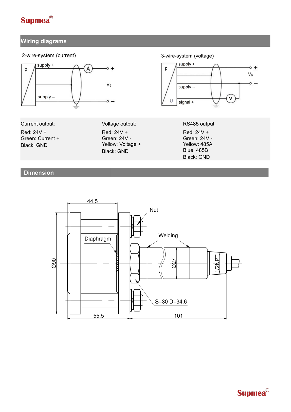

### **Wiring diagrams**



### **Dimension**